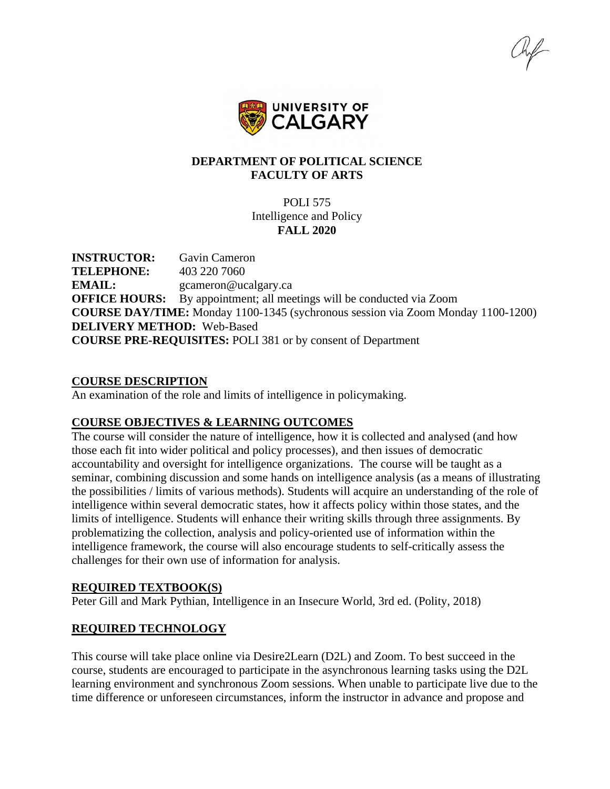hif



## **DEPARTMENT OF POLITICAL SCIENCE FACULTY OF ARTS**

POLI 575 Intelligence and Policy **FALL 2020**

**INSTRUCTOR:** Gavin Cameron **TELEPHONE:** 403 220 7060 **EMAIL:** gcameron@ucalgary.ca **OFFICE HOURS:** By appointment; all meetings will be conducted via Zoom **COURSE DAY/TIME:** Monday 1100-1345 (sychronous session via Zoom Monday 1100-1200) **DELIVERY METHOD:** Web-Based **COURSE PRE-REQUISITES:** POLI 381 or by consent of Department

#### **COURSE DESCRIPTION**

An examination of the role and limits of intelligence in policymaking.

### **COURSE OBJECTIVES & LEARNING OUTCOMES**

The course will consider the nature of intelligence, how it is collected and analysed (and how those each fit into wider political and policy processes), and then issues of democratic accountability and oversight for intelligence organizations. The course will be taught as a seminar, combining discussion and some hands on intelligence analysis (as a means of illustrating the possibilities / limits of various methods). Students will acquire an understanding of the role of intelligence within several democratic states, how it affects policy within those states, and the limits of intelligence. Students will enhance their writing skills through three assignments. By problematizing the collection, analysis and policy-oriented use of information within the intelligence framework, the course will also encourage students to self-critically assess the challenges for their own use of information for analysis.

#### **REQUIRED TEXTBOOK(S)**

Peter Gill and Mark Pythian, Intelligence in an Insecure World, 3rd ed. (Polity, 2018)

### **REQUIRED TECHNOLOGY**

This course will take place online via Desire2Learn (D2L) and Zoom. To best succeed in the course, students are encouraged to participate in the asynchronous learning tasks using the D2L learning environment and synchronous Zoom sessions. When unable to participate live due to the time difference or unforeseen circumstances, inform the instructor in advance and propose and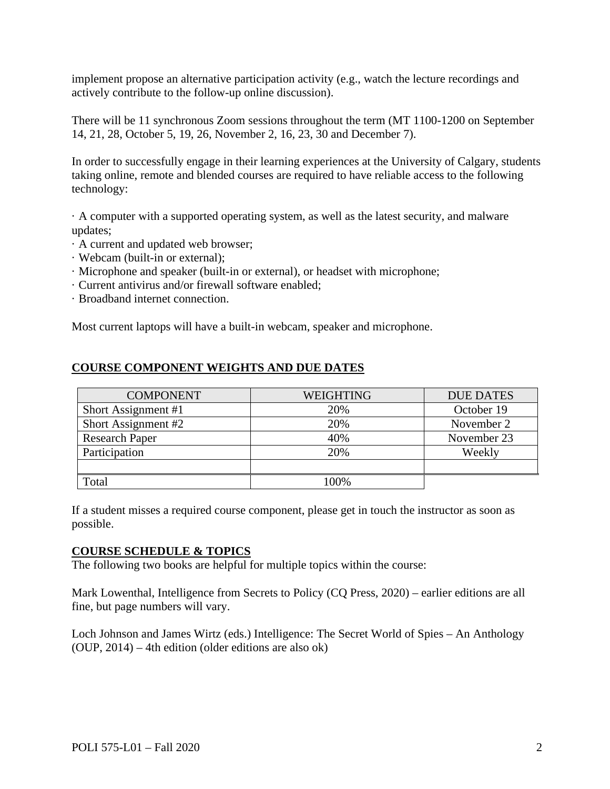implement propose an alternative participation activity (e.g., watch the lecture recordings and actively contribute to the follow-up online discussion).

There will be 11 synchronous Zoom sessions throughout the term (MT 1100-1200 on September 14, 21, 28, October 5, 19, 26, November 2, 16, 23, 30 and December 7).

In order to successfully engage in their learning experiences at the University of Calgary, students taking online, remote and blended courses are required to have reliable access to the following technology:

· A computer with a supported operating system, as well as the latest security, and malware updates;

- · A current and updated web browser;
- · Webcam (built-in or external);
- · Microphone and speaker (built-in or external), or headset with microphone;
- · Current antivirus and/or firewall software enabled;
- · Broadband internet connection.

Most current laptops will have a built-in webcam, speaker and microphone.

#### **COURSE COMPONENT WEIGHTS AND DUE DATES**

| <b>COMPONENT</b>      | WEIGHTING | <b>DUE DATES</b> |
|-----------------------|-----------|------------------|
| Short Assignment #1   | 20%       | October 19       |
| Short Assignment #2   | 20%       | November 2       |
| <b>Research Paper</b> | 40%       | November 23      |
| Participation         | 20%       | Weekly           |
|                       |           |                  |
| Total                 | 00%       |                  |

If a student misses a required course component, please get in touch the instructor as soon as possible.

#### **COURSE SCHEDULE & TOPICS**

The following two books are helpful for multiple topics within the course:

Mark Lowenthal, Intelligence from Secrets to Policy (CQ Press, 2020) – earlier editions are all fine, but page numbers will vary.

Loch Johnson and James Wirtz (eds.) Intelligence: The Secret World of Spies – An Anthology (OUP, 2014) – 4th edition (older editions are also ok)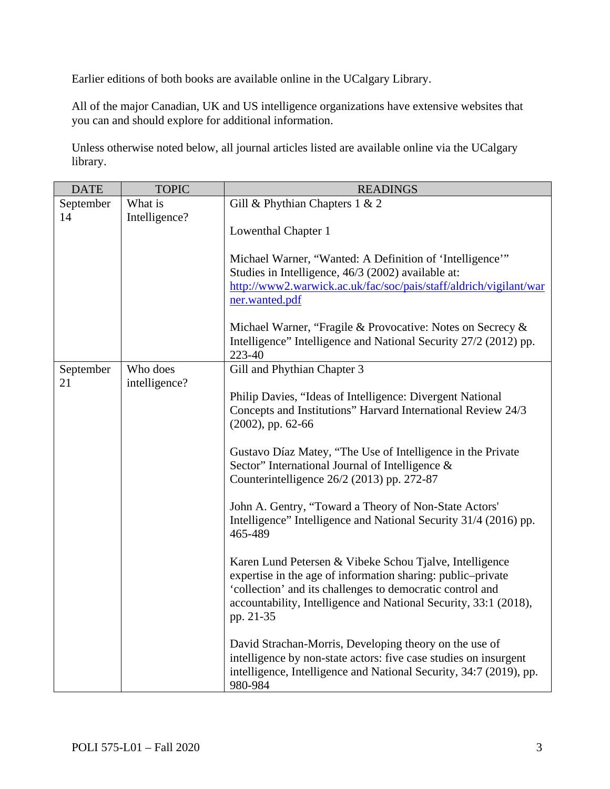Earlier editions of both books are available online in the UCalgary Library.

All of the major Canadian, UK and US intelligence organizations have extensive websites that you can and should explore for additional information.

Unless otherwise noted below, all journal articles listed are available online via the UCalgary library.

| <b>DATE</b>         | <b>TOPIC</b>                                                                                                                                      | <b>READINGS</b>                                                                                                                                                                                                                                                      |
|---------------------|---------------------------------------------------------------------------------------------------------------------------------------------------|----------------------------------------------------------------------------------------------------------------------------------------------------------------------------------------------------------------------------------------------------------------------|
| September<br>14     | What is<br>Intelligence?                                                                                                                          | Gill & Phythian Chapters $1 & 2$<br>Lowenthal Chapter 1                                                                                                                                                                                                              |
|                     |                                                                                                                                                   | Michael Warner, "Wanted: A Definition of 'Intelligence'"<br>Studies in Intelligence, 46/3 (2002) available at:<br>http://www2.warwick.ac.uk/fac/soc/pais/staff/aldrich/vigilant/war<br>ner.wanted.pdf                                                                |
|                     |                                                                                                                                                   | Michael Warner, "Fragile & Provocative: Notes on Secrecy &<br>Intelligence" Intelligence and National Security 27/2 (2012) pp.<br>223-40                                                                                                                             |
| September           | Who does                                                                                                                                          | Gill and Phythian Chapter 3                                                                                                                                                                                                                                          |
| 21<br>intelligence? | Philip Davies, "Ideas of Intelligence: Divergent National<br>Concepts and Institutions" Harvard International Review 24/3<br>$(2002)$ , pp. 62-66 |                                                                                                                                                                                                                                                                      |
|                     |                                                                                                                                                   | Gustavo Díaz Matey, "The Use of Intelligence in the Private<br>Sector" International Journal of Intelligence &<br>Counterintelligence 26/2 (2013) pp. 272-87                                                                                                         |
|                     |                                                                                                                                                   | John A. Gentry, "Toward a Theory of Non-State Actors'<br>Intelligence" Intelligence and National Security 31/4 (2016) pp.<br>465-489                                                                                                                                 |
|                     |                                                                                                                                                   | Karen Lund Petersen & Vibeke Schou Tjalve, Intelligence<br>expertise in the age of information sharing: public-private<br>'collection' and its challenges to democratic control and<br>accountability, Intelligence and National Security, 33:1 (2018),<br>pp. 21-35 |
|                     |                                                                                                                                                   | David Strachan-Morris, Developing theory on the use of<br>intelligence by non-state actors: five case studies on insurgent<br>intelligence, Intelligence and National Security, 34:7 (2019), pp.<br>980-984                                                          |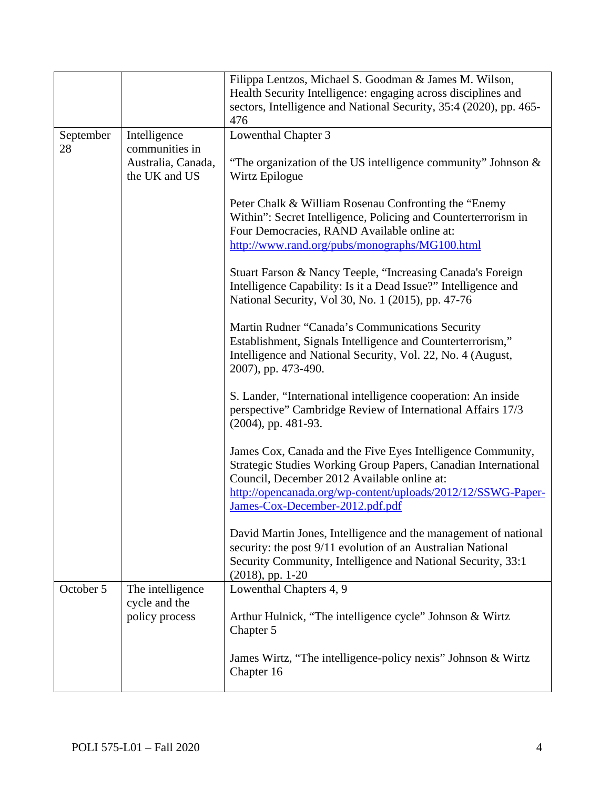|           |                                                       | Filippa Lentzos, Michael S. Goodman & James M. Wilson,<br>Health Security Intelligence: engaging across disciplines and<br>sectors, Intelligence and National Security, 35:4 (2020), pp. 465-<br>476                                                                            |  |  |
|-----------|-------------------------------------------------------|---------------------------------------------------------------------------------------------------------------------------------------------------------------------------------------------------------------------------------------------------------------------------------|--|--|
| September | Intelligence                                          | Lowenthal Chapter 3                                                                                                                                                                                                                                                             |  |  |
| 28        | communities in<br>Australia, Canada,<br>the UK and US | "The organization of the US intelligence community" Johnson $\&$<br>Wirtz Epilogue                                                                                                                                                                                              |  |  |
|           |                                                       | Peter Chalk & William Rosenau Confronting the "Enemy"<br>Within": Secret Intelligence, Policing and Counterterrorism in<br>Four Democracies, RAND Available online at:<br>http://www.rand.org/pubs/monographs/MG100.html                                                        |  |  |
|           |                                                       | Stuart Farson & Nancy Teeple, "Increasing Canada's Foreign<br>Intelligence Capability: Is it a Dead Issue?" Intelligence and<br>National Security, Vol 30, No. 1 (2015), pp. 47-76                                                                                              |  |  |
|           |                                                       | Martin Rudner "Canada's Communications Security<br>Establishment, Signals Intelligence and Counterterrorism,"<br>Intelligence and National Security, Vol. 22, No. 4 (August,<br>2007), pp. 473-490.                                                                             |  |  |
|           |                                                       | S. Lander, "International intelligence cooperation: An inside<br>perspective" Cambridge Review of International Affairs 17/3<br>$(2004)$ , pp. 481-93.                                                                                                                          |  |  |
|           |                                                       | James Cox, Canada and the Five Eyes Intelligence Community,<br>Strategic Studies Working Group Papers, Canadian International<br>Council, December 2012 Available online at:<br>http://opencanada.org/wp-content/uploads/2012/12/SSWG-Paper-<br>James-Cox-December-2012.pdf.pdf |  |  |
|           |                                                       | David Martin Jones, Intelligence and the management of national<br>security: the post 9/11 evolution of an Australian National<br>Security Community, Intelligence and National Security, 33:1<br>$(2018)$ , pp. 1-20                                                           |  |  |
| October 5 | The intelligence                                      | Lowenthal Chapters 4, 9                                                                                                                                                                                                                                                         |  |  |
|           | cycle and the<br>policy process                       | Arthur Hulnick, "The intelligence cycle" Johnson & Wirtz<br>Chapter 5                                                                                                                                                                                                           |  |  |
|           |                                                       | James Wirtz, "The intelligence-policy nexis" Johnson & Wirtz<br>Chapter 16                                                                                                                                                                                                      |  |  |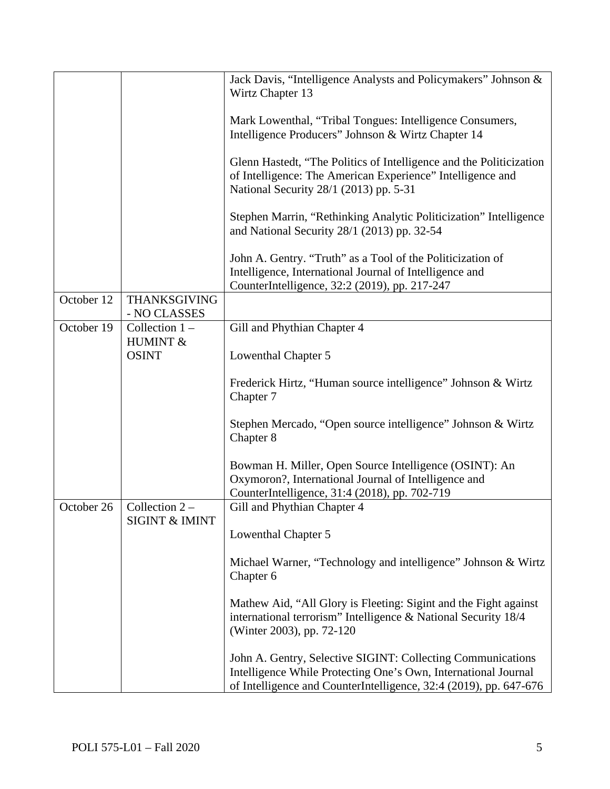|            |                                     | Jack Davis, "Intelligence Analysts and Policymakers" Johnson &<br>Wirtz Chapter 13                                                                                                                 |
|------------|-------------------------------------|----------------------------------------------------------------------------------------------------------------------------------------------------------------------------------------------------|
|            |                                     | Mark Lowenthal, "Tribal Tongues: Intelligence Consumers,<br>Intelligence Producers" Johnson & Wirtz Chapter 14                                                                                     |
|            |                                     | Glenn Hastedt, "The Politics of Intelligence and the Politicization<br>of Intelligence: The American Experience" Intelligence and<br>National Security 28/1 (2013) pp. 5-31                        |
|            |                                     | Stephen Marrin, "Rethinking Analytic Politicization" Intelligence<br>and National Security 28/1 (2013) pp. 32-54                                                                                   |
|            |                                     | John A. Gentry. "Truth" as a Tool of the Politicization of<br>Intelligence, International Journal of Intelligence and<br>CounterIntelligence, 32:2 (2019), pp. 217-247                             |
| October 12 | <b>THANKSGIVING</b><br>- NO CLASSES |                                                                                                                                                                                                    |
| October 19 | Collection $1 -$<br>HUMINT &        | Gill and Phythian Chapter 4                                                                                                                                                                        |
|            | <b>OSINT</b>                        | Lowenthal Chapter 5                                                                                                                                                                                |
|            |                                     | Frederick Hirtz, "Human source intelligence" Johnson & Wirtz<br>Chapter 7                                                                                                                          |
|            |                                     | Stephen Mercado, "Open source intelligence" Johnson & Wirtz<br>Chapter 8                                                                                                                           |
|            |                                     | Bowman H. Miller, Open Source Intelligence (OSINT): An<br>Oxymoron?, International Journal of Intelligence and<br>CounterIntelligence, 31:4 (2018), pp. 702-719                                    |
| October 26 | Collection $2 -$                    | Gill and Phythian Chapter 4                                                                                                                                                                        |
|            | <b>SIGINT &amp; IMINT</b>           | Lowenthal Chapter 5                                                                                                                                                                                |
|            |                                     | Michael Warner, "Technology and intelligence" Johnson & Wirtz<br>Chapter 6                                                                                                                         |
|            |                                     | Mathew Aid, "All Glory is Fleeting: Sigint and the Fight against<br>international terrorism" Intelligence & National Security 18/4<br>(Winter 2003), pp. 72-120                                    |
|            |                                     | John A. Gentry, Selective SIGINT: Collecting Communications<br>Intelligence While Protecting One's Own, International Journal<br>of Intelligence and CounterIntelligence, 32:4 (2019), pp. 647-676 |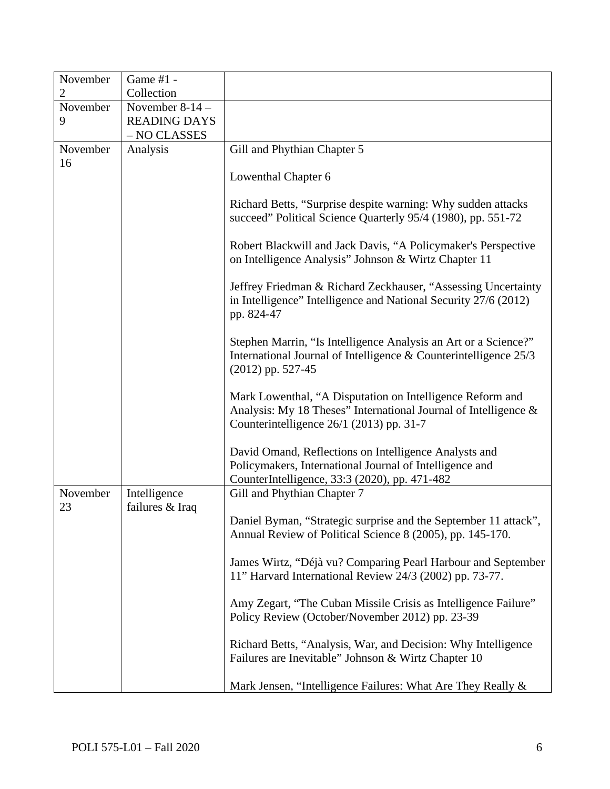| November<br>2 | Game #1 -<br>Collection |                                                                                                                                                                          |
|---------------|-------------------------|--------------------------------------------------------------------------------------------------------------------------------------------------------------------------|
| November      | November $8-14$ –       |                                                                                                                                                                          |
| 9             | <b>READING DAYS</b>     |                                                                                                                                                                          |
|               | - NO CLASSES            |                                                                                                                                                                          |
| November      | Analysis                | Gill and Phythian Chapter 5                                                                                                                                              |
| 16            |                         |                                                                                                                                                                          |
|               |                         | Lowenthal Chapter 6                                                                                                                                                      |
|               |                         | Richard Betts, "Surprise despite warning: Why sudden attacks<br>succeed" Political Science Quarterly 95/4 (1980), pp. 551-72                                             |
|               |                         | Robert Blackwill and Jack Davis, "A Policymaker's Perspective<br>on Intelligence Analysis" Johnson & Wirtz Chapter 11                                                    |
|               |                         | Jeffrey Friedman & Richard Zeckhauser, "Assessing Uncertainty<br>in Intelligence" Intelligence and National Security 27/6 (2012)<br>pp. 824-47                           |
|               |                         | Stephen Marrin, "Is Intelligence Analysis an Art or a Science?"<br>International Journal of Intelligence & Counterintelligence 25/3<br>$(2012)$ pp. 527-45               |
|               |                         | Mark Lowenthal, "A Disputation on Intelligence Reform and<br>Analysis: My 18 Theses" International Journal of Intelligence &<br>Counterintelligence 26/1 (2013) pp. 31-7 |
|               |                         | David Omand, Reflections on Intelligence Analysts and<br>Policymakers, International Journal of Intelligence and<br>CounterIntelligence, 33:3 (2020), pp. 471-482        |
| November      | Intelligence            | Gill and Phythian Chapter 7                                                                                                                                              |
| 23            | failures & Iraq         | Daniel Byman, "Strategic surprise and the September 11 attack",<br>Annual Review of Political Science 8 (2005), pp. 145-170.                                             |
|               |                         | James Wirtz, "Déjà vu? Comparing Pearl Harbour and September<br>11" Harvard International Review 24/3 (2002) pp. 73-77.                                                  |
|               |                         | Amy Zegart, "The Cuban Missile Crisis as Intelligence Failure"<br>Policy Review (October/November 2012) pp. 23-39                                                        |
|               |                         | Richard Betts, "Analysis, War, and Decision: Why Intelligence<br>Failures are Inevitable" Johnson & Wirtz Chapter 10                                                     |
|               |                         | Mark Jensen, "Intelligence Failures: What Are They Really &                                                                                                              |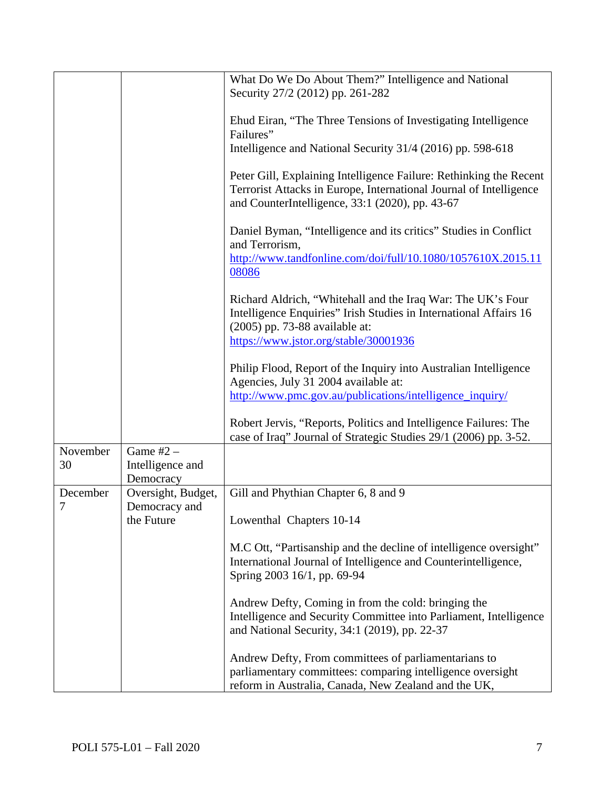|          |                    | What Do We Do About Them?" Intelligence and National                                                                                                                                                                                                                                                                               |
|----------|--------------------|------------------------------------------------------------------------------------------------------------------------------------------------------------------------------------------------------------------------------------------------------------------------------------------------------------------------------------|
|          |                    | Security 27/2 (2012) pp. 261-282                                                                                                                                                                                                                                                                                                   |
|          |                    |                                                                                                                                                                                                                                                                                                                                    |
|          |                    | Ehud Eiran, "The Three Tensions of Investigating Intelligence                                                                                                                                                                                                                                                                      |
|          |                    | Failures"                                                                                                                                                                                                                                                                                                                          |
|          |                    | Intelligence and National Security 31/4 (2016) pp. 598-618                                                                                                                                                                                                                                                                         |
|          |                    |                                                                                                                                                                                                                                                                                                                                    |
|          |                    | Peter Gill, Explaining Intelligence Failure: Rethinking the Recent                                                                                                                                                                                                                                                                 |
|          |                    | Terrorist Attacks in Europe, International Journal of Intelligence                                                                                                                                                                                                                                                                 |
|          |                    | and CounterIntelligence, 33:1 (2020), pp. 43-67                                                                                                                                                                                                                                                                                    |
|          |                    |                                                                                                                                                                                                                                                                                                                                    |
|          |                    | Daniel Byman, "Intelligence and its critics" Studies in Conflict                                                                                                                                                                                                                                                                   |
|          |                    | and Terrorism,                                                                                                                                                                                                                                                                                                                     |
|          |                    |                                                                                                                                                                                                                                                                                                                                    |
|          |                    | http://www.tandfonline.com/doi/full/10.1080/1057610X.2015.11                                                                                                                                                                                                                                                                       |
|          |                    | 08086                                                                                                                                                                                                                                                                                                                              |
|          |                    |                                                                                                                                                                                                                                                                                                                                    |
|          |                    | Richard Aldrich, "Whitehall and the Iraq War: The UK's Four                                                                                                                                                                                                                                                                        |
|          |                    | Intelligence Enquiries" Irish Studies in International Affairs 16                                                                                                                                                                                                                                                                  |
|          |                    | (2005) pp. 73-88 available at:                                                                                                                                                                                                                                                                                                     |
|          |                    | https://www.jstor.org/stable/30001936                                                                                                                                                                                                                                                                                              |
|          |                    |                                                                                                                                                                                                                                                                                                                                    |
|          |                    | Philip Flood, Report of the Inquiry into Australian Intelligence                                                                                                                                                                                                                                                                   |
|          |                    | Agencies, July 31 2004 available at:                                                                                                                                                                                                                                                                                               |
|          |                    | http://www.pmc.gov.au/publications/intelligence_inquiry/                                                                                                                                                                                                                                                                           |
|          |                    |                                                                                                                                                                                                                                                                                                                                    |
|          |                    | Robert Jervis, "Reports, Politics and Intelligence Failures: The                                                                                                                                                                                                                                                                   |
|          |                    | case of Iraq" Journal of Strategic Studies 29/1 (2006) pp. 3-52.                                                                                                                                                                                                                                                                   |
| November | Game $#2 -$        |                                                                                                                                                                                                                                                                                                                                    |
| 30       | Intelligence and   |                                                                                                                                                                                                                                                                                                                                    |
|          | Democracy          |                                                                                                                                                                                                                                                                                                                                    |
| December | Oversight, Budget, | Gill and Phythian Chapter 6, 8 and 9                                                                                                                                                                                                                                                                                               |
| 7        | Democracy and      |                                                                                                                                                                                                                                                                                                                                    |
|          | the Future         | Lowenthal Chapters 10-14                                                                                                                                                                                                                                                                                                           |
|          |                    |                                                                                                                                                                                                                                                                                                                                    |
|          |                    | M.C Ott, "Partisanship and the decline of intelligence oversight"                                                                                                                                                                                                                                                                  |
|          |                    |                                                                                                                                                                                                                                                                                                                                    |
|          |                    |                                                                                                                                                                                                                                                                                                                                    |
|          |                    |                                                                                                                                                                                                                                                                                                                                    |
|          |                    |                                                                                                                                                                                                                                                                                                                                    |
|          |                    |                                                                                                                                                                                                                                                                                                                                    |
|          |                    |                                                                                                                                                                                                                                                                                                                                    |
|          |                    |                                                                                                                                                                                                                                                                                                                                    |
|          |                    |                                                                                                                                                                                                                                                                                                                                    |
|          |                    |                                                                                                                                                                                                                                                                                                                                    |
|          |                    | parliamentary committees: comparing intelligence oversight                                                                                                                                                                                                                                                                         |
|          |                    | International Journal of Intelligence and Counterintelligence,<br>Spring 2003 16/1, pp. 69-94<br>Andrew Defty, Coming in from the cold: bringing the<br>Intelligence and Security Committee into Parliament, Intelligence<br>and National Security, 34:1 (2019), pp. 22-37<br>Andrew Defty, From committees of parliamentarians to |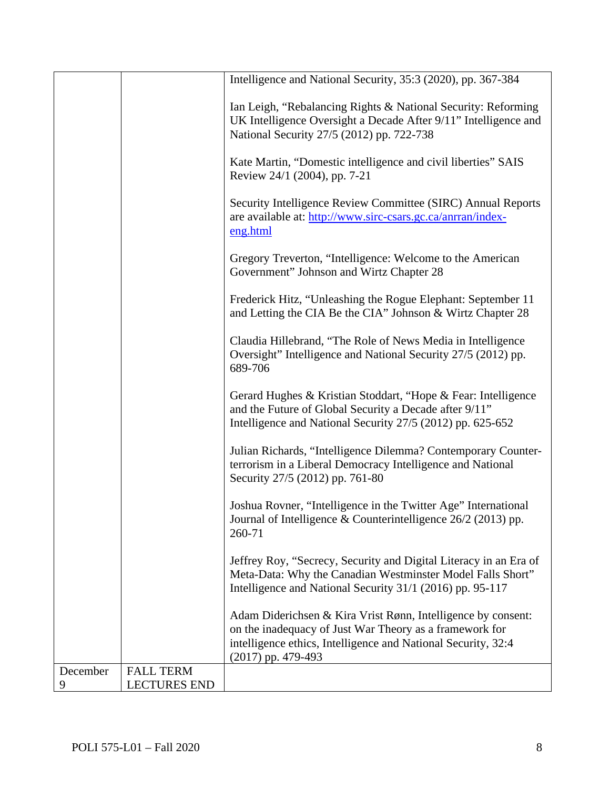|          |                     | Intelligence and National Security, 35:3 (2020), pp. 367-384                                                                                                                                                     |
|----------|---------------------|------------------------------------------------------------------------------------------------------------------------------------------------------------------------------------------------------------------|
|          |                     | Ian Leigh, "Rebalancing Rights & National Security: Reforming<br>UK Intelligence Oversight a Decade After 9/11" Intelligence and<br>National Security 27/5 (2012) pp. 722-738                                    |
|          |                     | Kate Martin, "Domestic intelligence and civil liberties" SAIS<br>Review 24/1 (2004), pp. 7-21                                                                                                                    |
|          |                     | Security Intelligence Review Committee (SIRC) Annual Reports<br>are available at: http://www.sirc-csars.gc.ca/anrran/index-<br>eng.html                                                                          |
|          |                     | Gregory Treverton, "Intelligence: Welcome to the American<br>Government" Johnson and Wirtz Chapter 28                                                                                                            |
|          |                     | Frederick Hitz, "Unleashing the Rogue Elephant: September 11<br>and Letting the CIA Be the CIA" Johnson & Wirtz Chapter 28                                                                                       |
|          |                     | Claudia Hillebrand, "The Role of News Media in Intelligence<br>Oversight" Intelligence and National Security 27/5 (2012) pp.<br>689-706                                                                          |
|          |                     | Gerard Hughes & Kristian Stoddart, "Hope & Fear: Intelligence<br>and the Future of Global Security a Decade after 9/11"<br>Intelligence and National Security 27/5 (2012) pp. 625-652                            |
|          |                     | Julian Richards, "Intelligence Dilemma? Contemporary Counter-<br>terrorism in a Liberal Democracy Intelligence and National<br>Security 27/5 (2012) pp. 761-80                                                   |
|          |                     | Joshua Rovner, "Intelligence in the Twitter Age" International<br>Journal of Intelligence & Counterintelligence $26/2$ (2013) pp.<br>260-71                                                                      |
|          |                     | Jeffrey Roy, "Secrecy, Security and Digital Literacy in an Era of<br>Meta-Data: Why the Canadian Westminster Model Falls Short"<br>Intelligence and National Security 31/1 (2016) pp. 95-117                     |
|          |                     | Adam Diderichsen & Kira Vrist Rønn, Intelligence by consent:<br>on the inadequacy of Just War Theory as a framework for<br>intelligence ethics, Intelligence and National Security, 32:4<br>$(2017)$ pp. 479-493 |
| December | <b>FALL TERM</b>    |                                                                                                                                                                                                                  |
| 9        | <b>LECTURES END</b> |                                                                                                                                                                                                                  |
|          |                     |                                                                                                                                                                                                                  |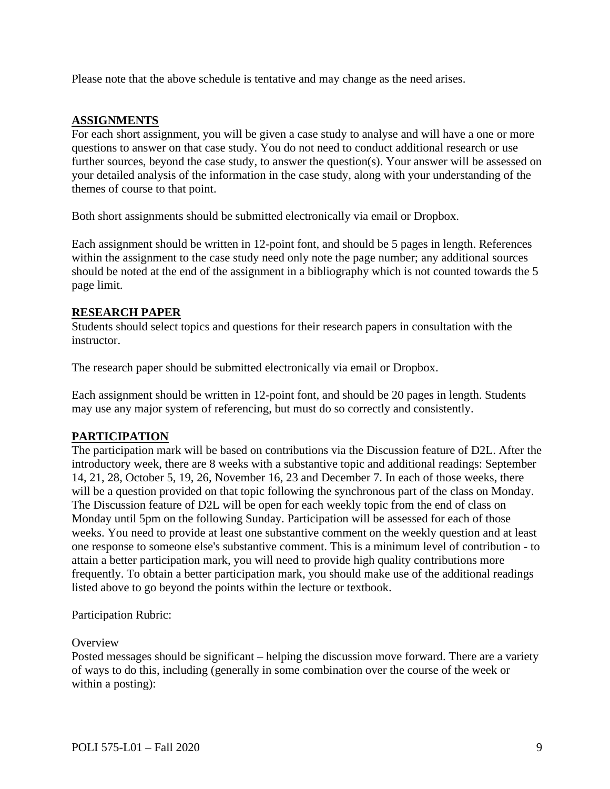Please note that the above schedule is tentative and may change as the need arises.

### **ASSIGNMENTS**

For each short assignment, you will be given a case study to analyse and will have a one or more questions to answer on that case study. You do not need to conduct additional research or use further sources, beyond the case study, to answer the question(s). Your answer will be assessed on your detailed analysis of the information in the case study, along with your understanding of the themes of course to that point.

Both short assignments should be submitted electronically via email or Dropbox.

Each assignment should be written in 12-point font, and should be 5 pages in length. References within the assignment to the case study need only note the page number; any additional sources should be noted at the end of the assignment in a bibliography which is not counted towards the 5 page limit.

#### **RESEARCH PAPER**

Students should select topics and questions for their research papers in consultation with the instructor.

The research paper should be submitted electronically via email or Dropbox.

Each assignment should be written in 12-point font, and should be 20 pages in length. Students may use any major system of referencing, but must do so correctly and consistently.

### **PARTICIPATION**

The participation mark will be based on contributions via the Discussion feature of D2L. After the introductory week, there are 8 weeks with a substantive topic and additional readings: September 14, 21, 28, October 5, 19, 26, November 16, 23 and December 7. In each of those weeks, there will be a question provided on that topic following the synchronous part of the class on Monday. The Discussion feature of D2L will be open for each weekly topic from the end of class on Monday until 5pm on the following Sunday. Participation will be assessed for each of those weeks. You need to provide at least one substantive comment on the weekly question and at least one response to someone else's substantive comment. This is a minimum level of contribution - to attain a better participation mark, you will need to provide high quality contributions more frequently. To obtain a better participation mark, you should make use of the additional readings listed above to go beyond the points within the lecture or textbook.

Participation Rubric:

#### **Overview**

Posted messages should be significant – helping the discussion move forward. There are a variety of ways to do this, including (generally in some combination over the course of the week or within a posting):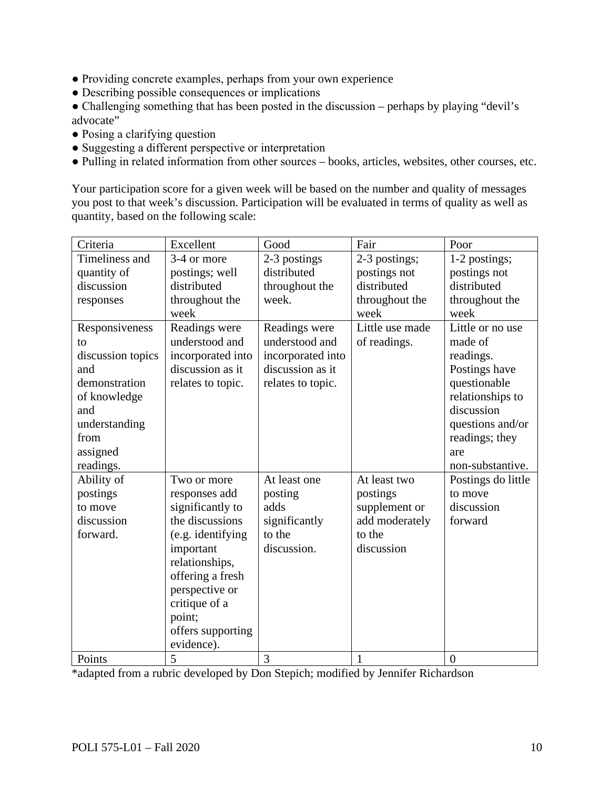- Providing concrete examples, perhaps from your own experience
- Describing possible consequences or implications
- Challenging something that has been posted in the discussion perhaps by playing "devil's advocate"
- Posing a clarifying question
- Suggesting a different perspective or interpretation
- Pulling in related information from other sources books, articles, websites, other courses, etc.

Your participation score for a given week will be based on the number and quality of messages you post to that week's discussion. Participation will be evaluated in terms of quality as well as quantity, based on the following scale:

| Criteria          | Excellent         | Good              | Fair            | Poor               |
|-------------------|-------------------|-------------------|-----------------|--------------------|
| Timeliness and    | 3-4 or more       | 2-3 postings      | 2-3 postings;   | 1-2 postings;      |
| quantity of       | postings; well    | distributed       | postings not    | postings not       |
| discussion        | distributed       | throughout the    | distributed     | distributed        |
| responses         | throughout the    | week.             | throughout the  | throughout the     |
|                   | week              |                   | week            | week               |
| Responsiveness    | Readings were     | Readings were     | Little use made | Little or no use   |
| to                | understood and    | understood and    | of readings.    | made of            |
| discussion topics | incorporated into | incorporated into |                 | readings.          |
| and               | discussion as it  | discussion as it  |                 | Postings have      |
| demonstration     | relates to topic. | relates to topic. |                 | questionable       |
| of knowledge      |                   |                   |                 | relationships to   |
| and               |                   |                   |                 | discussion         |
| understanding     |                   |                   |                 | questions and/or   |
| from              |                   |                   |                 | readings; they     |
| assigned          |                   |                   |                 | are                |
| readings.         |                   |                   |                 | non-substantive.   |
| Ability of        | Two or more       | At least one      | At least two    | Postings do little |
| postings          | responses add     | posting           | postings        | to move            |
| to move           | significantly to  | adds              | supplement or   | discussion         |
| discussion        | the discussions   | significantly     | add moderately  | forward            |
| forward.          | (e.g. identifying | to the            | to the          |                    |
|                   | important         | discussion.       | discussion      |                    |
|                   | relationships,    |                   |                 |                    |
|                   | offering a fresh  |                   |                 |                    |
|                   | perspective or    |                   |                 |                    |
|                   | critique of a     |                   |                 |                    |
|                   | point;            |                   |                 |                    |
|                   | offers supporting |                   |                 |                    |
|                   | evidence).        |                   |                 |                    |
| Points            | 5                 | 3                 | $\mathbf{1}$    | $\overline{0}$     |

\*adapted from a rubric developed by Don Stepich; modified by Jennifer Richardson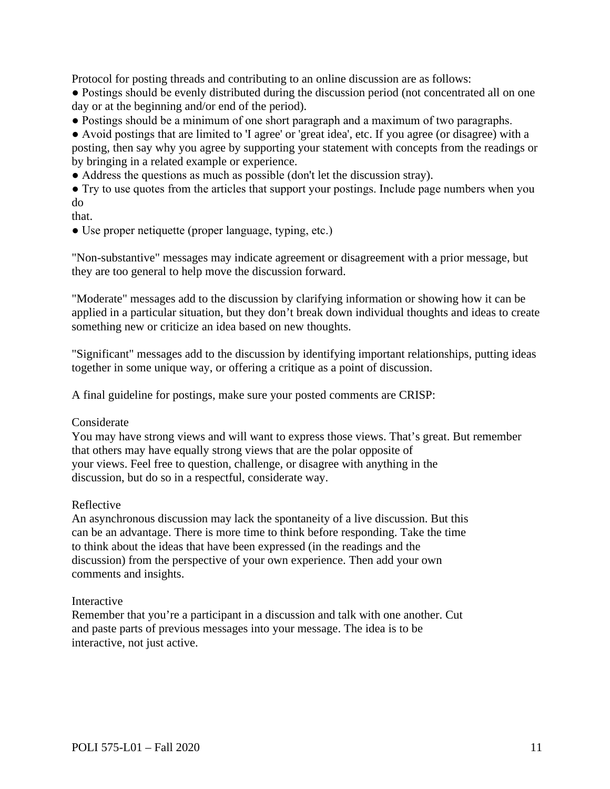Protocol for posting threads and contributing to an online discussion are as follows:

- Postings should be evenly distributed during the discussion period (not concentrated all on one day or at the beginning and/or end of the period).
- Postings should be a minimum of one short paragraph and a maximum of two paragraphs.

● Avoid postings that are limited to 'I agree' or 'great idea', etc. If you agree (or disagree) with a posting, then say why you agree by supporting your statement with concepts from the readings or by bringing in a related example or experience.

● Address the questions as much as possible (don't let the discussion stray).

• Try to use quotes from the articles that support your postings. Include page numbers when you do

- that.
- Use proper netiquette (proper language, typing, etc.)

"Non-substantive" messages may indicate agreement or disagreement with a prior message, but they are too general to help move the discussion forward.

"Moderate" messages add to the discussion by clarifying information or showing how it can be applied in a particular situation, but they don't break down individual thoughts and ideas to create something new or criticize an idea based on new thoughts.

"Significant" messages add to the discussion by identifying important relationships, putting ideas together in some unique way, or offering a critique as a point of discussion.

A final guideline for postings, make sure your posted comments are CRISP:

#### Considerate

You may have strong views and will want to express those views. That's great. But remember that others may have equally strong views that are the polar opposite of your views. Feel free to question, challenge, or disagree with anything in the discussion, but do so in a respectful, considerate way.

#### Reflective

An asynchronous discussion may lack the spontaneity of a live discussion. But this can be an advantage. There is more time to think before responding. Take the time to think about the ideas that have been expressed (in the readings and the discussion) from the perspective of your own experience. Then add your own comments and insights.

#### Interactive

Remember that you're a participant in a discussion and talk with one another. Cut and paste parts of previous messages into your message. The idea is to be interactive, not just active.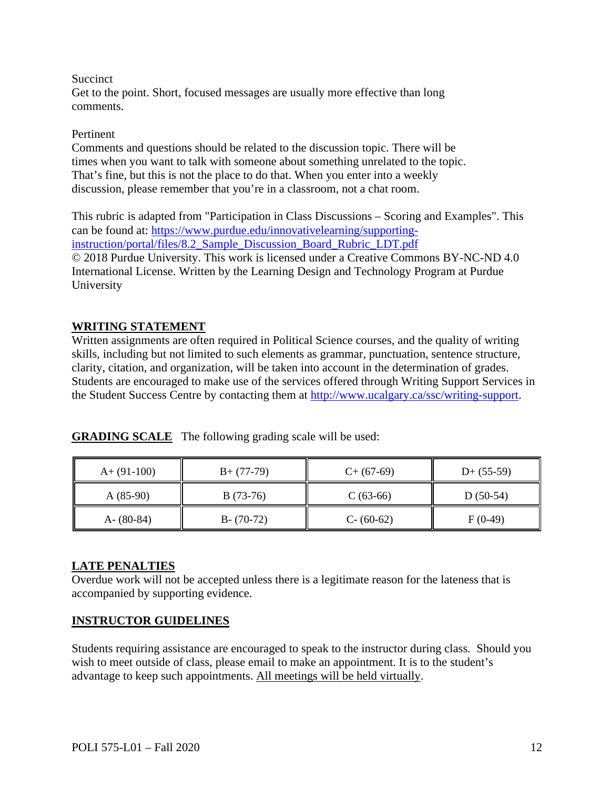#### **Succinct**

Get to the point. Short, focused messages are usually more effective than long comments.

#### Pertinent

Comments and questions should be related to the discussion topic. There will be times when you want to talk with someone about something unrelated to the topic. That's fine, but this is not the place to do that. When you enter into a weekly discussion, please remember that you're in a classroom, not a chat room.

This rubric is adapted from "Participation in Class Discussions – Scoring and Examples". This can be found at: [https://www.purdue.edu/innovativelearning/supporting](https://www.purdue.edu/innovativelearning/supporting-instruction/portal/files/8.2_Sample_Discussion_Board_Rubric_LDT.pdf)[instruction/portal/files/8.2\\_Sample\\_Discussion\\_Board\\_Rubric\\_LDT.pdf](https://www.purdue.edu/innovativelearning/supporting-instruction/portal/files/8.2_Sample_Discussion_Board_Rubric_LDT.pdf) © 2018 Purdue University. This work is licensed under a Creative Commons BY-NC-ND 4.0 International License. Written by the Learning Design and Technology Program at Purdue University

### **WRITING STATEMENT**

Written assignments are often required in Political Science courses, and the quality of writing skills, including but not limited to such elements as grammar, punctuation, sentence structure, clarity, citation, and organization, will be taken into account in the determination of grades. Students are encouraged to make use of the services offered through Writing Support Services in the Student Success Centre by contacting them at [http://www.ucalgary.ca/ssc/writing-support.](http://www.ucalgary.ca/ssc/writing-support)

| $A+ (91-100)$ | $B+ (77-79)$  | $C+$ (67-69) | $D+ (55-59)$ |
|---------------|---------------|--------------|--------------|
| $A(85-90)$    | $B(73-76)$    | $C(63-66)$   | $D(50-54)$   |
| $A - (80-84)$ | $B - (70-72)$ | $C- (60-62)$ | $F(0-49)$    |

**GRADING SCALE** The following grading scale will be used:

#### **LATE PENALTIES**

Overdue work will not be accepted unless there is a legitimate reason for the lateness that is accompanied by supporting evidence.

### **INSTRUCTOR GUIDELINES**

Students requiring assistance are encouraged to speak to the instructor during class. Should you wish to meet outside of class, please email to make an appointment. It is to the student's advantage to keep such appointments. All meetings will be held virtually.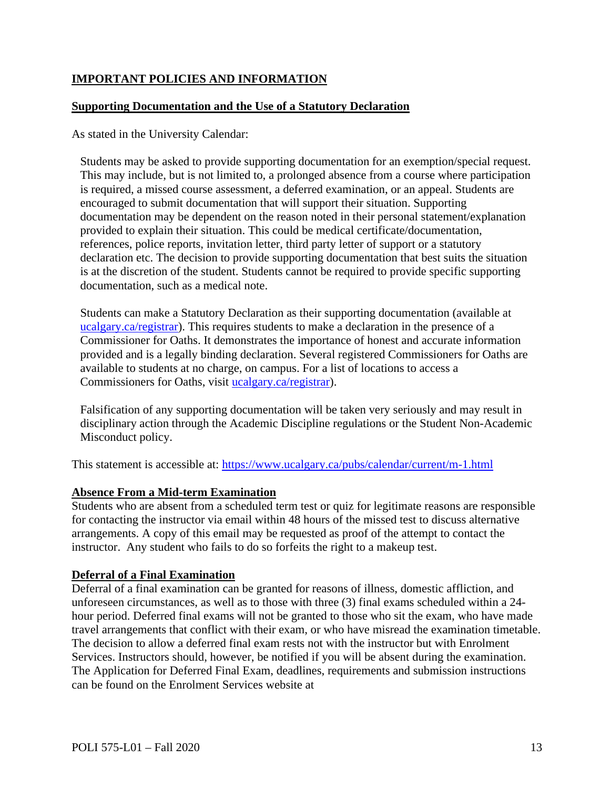# **IMPORTANT POLICIES AND INFORMATION**

### **Supporting Documentation and the Use of a Statutory Declaration**

As stated in the University Calendar:

Students may be asked to provide supporting documentation for an exemption/special request. This may include, but is not limited to, a prolonged absence from a course where participation is required, a missed course assessment, a deferred examination, or an appeal. Students are encouraged to submit documentation that will support their situation. Supporting documentation may be dependent on the reason noted in their personal statement/explanation provided to explain their situation. This could be medical certificate/documentation, references, police reports, invitation letter, third party letter of support or a statutory declaration etc. The decision to provide supporting documentation that best suits the situation is at the discretion of the student. Students cannot be required to provide specific supporting documentation, such as a medical note.

Students can make a Statutory Declaration as their supporting documentation (available at [ucalgary.ca/registrar\)](http://www.ucalgary.ca/registrar). This requires students to make a declaration in the presence of a Commissioner for Oaths. It demonstrates the importance of honest and accurate information provided and is a legally binding declaration. Several registered Commissioners for Oaths are available to students at no charge, on campus. For a list of locations to access a Commissioners for Oaths, visit [ucalgary.ca/registrar\)](http://www.ucalgary.ca/registrar).

Falsification of any supporting documentation will be taken very seriously and may result in disciplinary action through the Academic Discipline regulations or the Student Non-Academic Misconduct policy.

This statement is accessible at:<https://www.ucalgary.ca/pubs/calendar/current/m-1.html>

#### **Absence From a Mid-term Examination**

Students who are absent from a scheduled term test or quiz for legitimate reasons are responsible for contacting the instructor via email within 48 hours of the missed test to discuss alternative arrangements. A copy of this email may be requested as proof of the attempt to contact the instructor. Any student who fails to do so forfeits the right to a makeup test.

#### **Deferral of a Final Examination**

Deferral of a final examination can be granted for reasons of illness, domestic affliction, and unforeseen circumstances, as well as to those with three (3) final exams scheduled within a 24 hour period. Deferred final exams will not be granted to those who sit the exam, who have made travel arrangements that conflict with their exam, or who have misread the examination timetable. The decision to allow a deferred final exam rests not with the instructor but with Enrolment Services. Instructors should, however, be notified if you will be absent during the examination. The Application for Deferred Final Exam, deadlines, requirements and submission instructions can be found on the Enrolment Services website at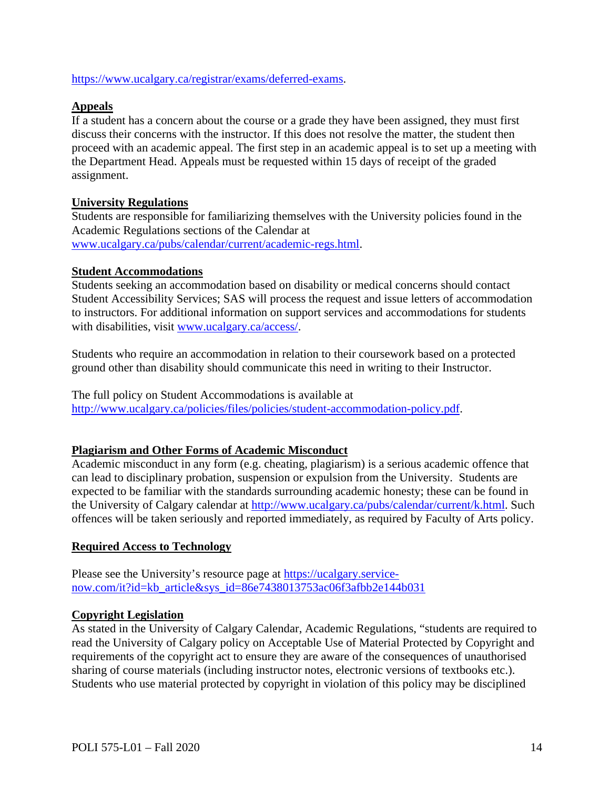[https://www.ucalgary.ca/registrar/exams/deferred-exams.](https://www.ucalgary.ca/registrar/exams/deferred-exams)

## **Appeals**

If a student has a concern about the course or a grade they have been assigned, they must first discuss their concerns with the instructor. If this does not resolve the matter, the student then proceed with an academic appeal. The first step in an academic appeal is to set up a meeting with the Department Head. Appeals must be requested within 15 days of receipt of the graded assignment.

## **University Regulations**

Students are responsible for familiarizing themselves with the University policies found in the Academic Regulations sections of the Calendar at [www.ucalgary.ca/pubs/calendar/current/academic-regs.html.](http://www.ucalgary.ca/pubs/calendar/current/academic-regs.html)

### **Student Accommodations**

Students seeking an accommodation based on disability or medical concerns should contact Student Accessibility Services; SAS will process the request and issue letters of accommodation to instructors. For additional information on support services and accommodations for students with disabilities, visit [www.ucalgary.ca/access/.](http://www.ucalgary.ca/access/)

Students who require an accommodation in relation to their coursework based on a protected ground other than disability should communicate this need in writing to their Instructor.

The full policy on Student Accommodations is available at [http://www.ucalgary.ca/policies/files/policies/student-accommodation-policy.pdf.](http://www.ucalgary.ca/policies/files/policies/student-accommodation-policy.pdf)

### **Plagiarism and Other Forms of Academic Misconduct**

Academic misconduct in any form (e.g. cheating, plagiarism) is a serious academic offence that can lead to disciplinary probation, suspension or expulsion from the University. Students are expected to be familiar with the standards surrounding academic honesty; these can be found in the University of Calgary calendar at [http://www.ucalgary.ca/pubs/calendar/current/k.html.](http://www.ucalgary.ca/pubs/calendar/current/k.html) Such offences will be taken seriously and reported immediately, as required by Faculty of Arts policy.

# **Required Access to Technology**

Please see the University's resource page at [https://ucalgary.service](https://ucalgary.service-now.com/it?id=kb_article&sys_id=86e7438013753ac06f3afbb2e144b031)[now.com/it?id=kb\\_article&sys\\_id=86e7438013753ac06f3afbb2e144b031](https://ucalgary.service-now.com/it?id=kb_article&sys_id=86e7438013753ac06f3afbb2e144b031)

### **Copyright Legislation**

As stated in the University of Calgary Calendar, Academic Regulations, "students are required to read the University of Calgary policy on Acceptable Use of Material Protected by Copyright and requirements of the copyright act to ensure they are aware of the consequences of unauthorised sharing of course materials (including instructor notes, electronic versions of textbooks etc.). Students who use material protected by copyright in violation of this policy may be disciplined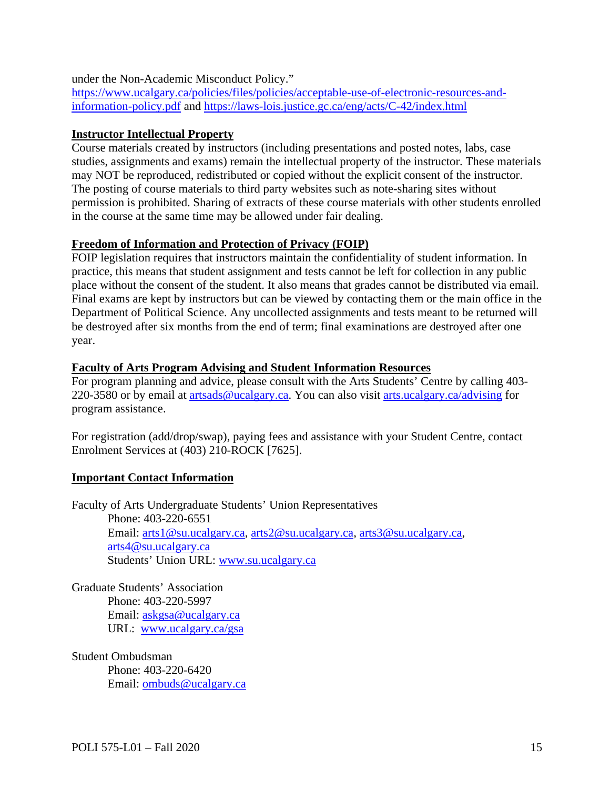under the Non-Academic Misconduct Policy."

[https://www.ucalgary.ca/policies/files/policies/acceptable-use-of-electronic-resources-and](https://www.ucalgary.ca/policies/files/policies/acceptable-use-of-electronic-resources-and-information-policy.pdf)[information-policy.pdf](https://www.ucalgary.ca/policies/files/policies/acceptable-use-of-electronic-resources-and-information-policy.pdf) and<https://laws-lois.justice.gc.ca/eng/acts/C-42/index.html>

### **Instructor Intellectual Property**

Course materials created by instructors (including presentations and posted notes, labs, case studies, assignments and exams) remain the intellectual property of the instructor. These materials may NOT be reproduced, redistributed or copied without the explicit consent of the instructor. The posting of course materials to third party websites such as note-sharing sites without permission is prohibited. Sharing of extracts of these course materials with other students enrolled in the course at the same time may be allowed under fair dealing.

### **Freedom of Information and Protection of Privacy (FOIP)**

FOIP legislation requires that instructors maintain the confidentiality of student information. In practice, this means that student assignment and tests cannot be left for collection in any public place without the consent of the student. It also means that grades cannot be distributed via email. Final exams are kept by instructors but can be viewed by contacting them or the main office in the Department of Political Science. Any uncollected assignments and tests meant to be returned will be destroyed after six months from the end of term; final examinations are destroyed after one year.

#### **Faculty of Arts Program Advising and Student Information Resources**

For program planning and advice, please consult with the Arts Students' Centre by calling 403- 220-3580 or by email at [artsads@ucalgary.ca.](mailto:artsads@ucalgary.ca) You can also visit [arts.ucalgary.ca/advising](http://arts.ucalgary.ca/advising) for program assistance.

For registration (add/drop/swap), paying fees and assistance with your Student Centre, contact Enrolment Services at (403) 210-ROCK [7625].

### **Important Contact Information**

Faculty of Arts Undergraduate Students' Union Representatives Phone: 403-220-6551 Email: [arts1@su.ucalgary.ca,](mailto:arts1@su.ucalgary.ca) [arts2@su.ucalgary.ca,](mailto:arts2@su.ucalgary.ca) [arts3@su.ucalgary.ca,](mailto:arts3@su.ucalgary.ca) [arts4@su.ucalgary.ca](mailto:arts4@su.ucalgary.ca) Students' Union URL: [www.su.ucalgary.ca](http://www.su.ucalgary.ca/)

Graduate Students' Association Phone: 403-220-5997 Email: [askgsa@ucalgary.ca](mailto:askgsa@ucalgary.ca) URL: [www.ucalgary.ca/gsa](http://www.ucalgary.ca/gsa)

Student Ombudsman Phone: 403-220-6420 Email: [ombuds@ucalgary.ca](mailto:ombuds@ucalgary.ca)